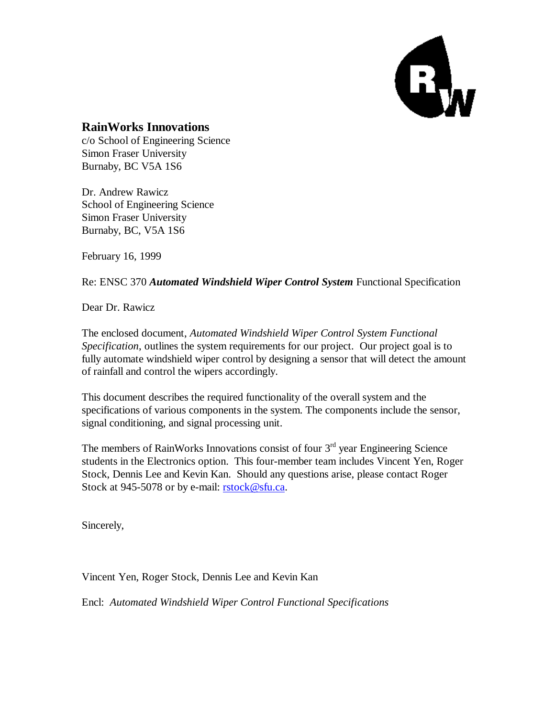

#### **RainWorks Innovations**

c/o School of Engineering Science Simon Fraser University Burnaby, BC V5A 1S6

Dr. Andrew Rawicz School of Engineering Science Simon Fraser University Burnaby, BC, V5A 1S6

February 16, 1999

Re: ENSC 370 *Automated Windshield Wiper Control System* Functional Specification

Dear Dr. Rawicz

The enclosed document, *Automated Windshield Wiper Control System Functional Specification*, outlines the system requirements for our project. Our project goal is to fully automate windshield wiper control by designing a sensor that will detect the amount of rainfall and control the wipers accordingly.

This document describes the required functionality of the overall system and the specifications of various components in the system. The components include the sensor, signal conditioning, and signal processing unit.

The members of RainWorks Innovations consist of four  $3<sup>rd</sup>$  year Engineering Science students in the Electronics option. This four-member team includes Vincent Yen, Roger Stock, Dennis Lee and Kevin Kan. Should any questions arise, please contact Roger Stock at 945-5078 or by e-mail: **rstock@sfu.ca.** 

Sincerely,

Vincent Yen, Roger Stock, Dennis Lee and Kevin Kan

Encl: *Automated Windshield Wiper Control Functional Specifications*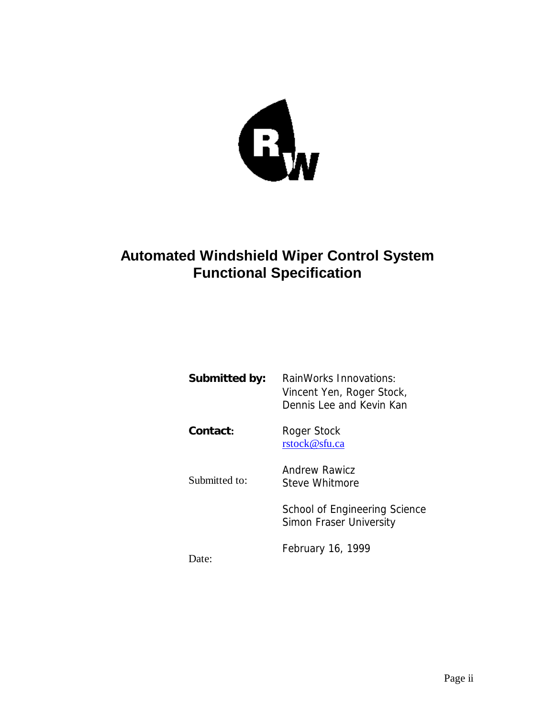

# **Automated Windshield Wiper Control System Functional Specification**

| Submitted by: | RainWorks Innovations:<br>Vincent Yen, Roger Stock,<br>Dennis Lee and Kevin Kan |
|---------------|---------------------------------------------------------------------------------|
| Contact:      | Roger Stock<br>rstock@sfu.ca                                                    |
| Submitted to: | Andrew Rawicz<br>Steve Whitmore                                                 |
|               | School of Engineering Science<br>Simon Fraser University                        |
| ate:          | February 16, 1999                                                               |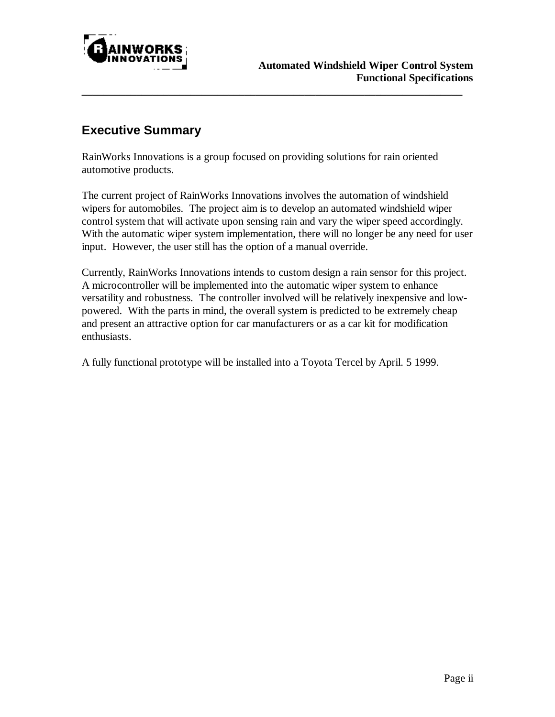

## **Executive Summary**

RainWorks Innovations is a group focused on providing solutions for rain oriented automotive products.

**\_\_\_\_\_\_\_\_\_\_\_\_\_\_\_\_\_\_\_\_\_\_\_\_\_\_\_\_\_\_\_\_\_\_\_\_\_\_\_\_\_\_\_\_\_\_\_\_\_\_\_\_\_\_\_\_\_\_\_\_\_\_\_\_\_\_\_\_\_\_**

The current project of RainWorks Innovations involves the automation of windshield wipers for automobiles. The project aim is to develop an automated windshield wiper control system that will activate upon sensing rain and vary the wiper speed accordingly. With the automatic wiper system implementation, there will no longer be any need for user input. However, the user still has the option of a manual override.

Currently, RainWorks Innovations intends to custom design a rain sensor for this project. A microcontroller will be implemented into the automatic wiper system to enhance versatility and robustness. The controller involved will be relatively inexpensive and lowpowered. With the parts in mind, the overall system is predicted to be extremely cheap and present an attractive option for car manufacturers or as a car kit for modification enthusiasts.

A fully functional prototype will be installed into a Toyota Tercel by April. 5 1999.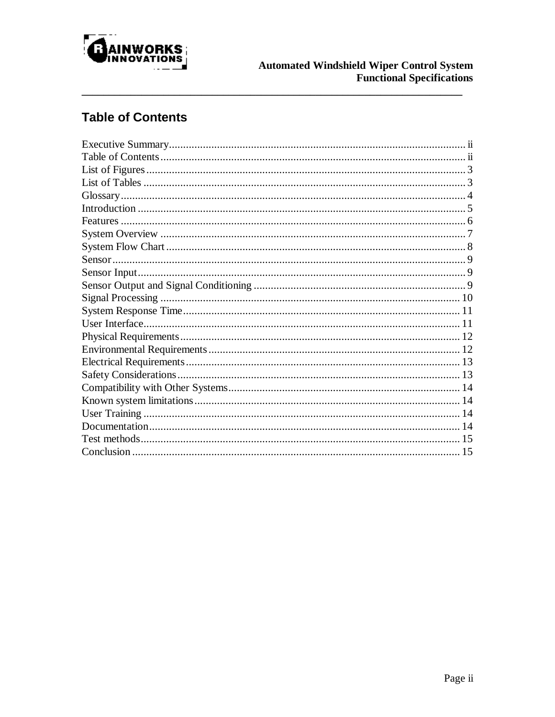

# **Table of Contents**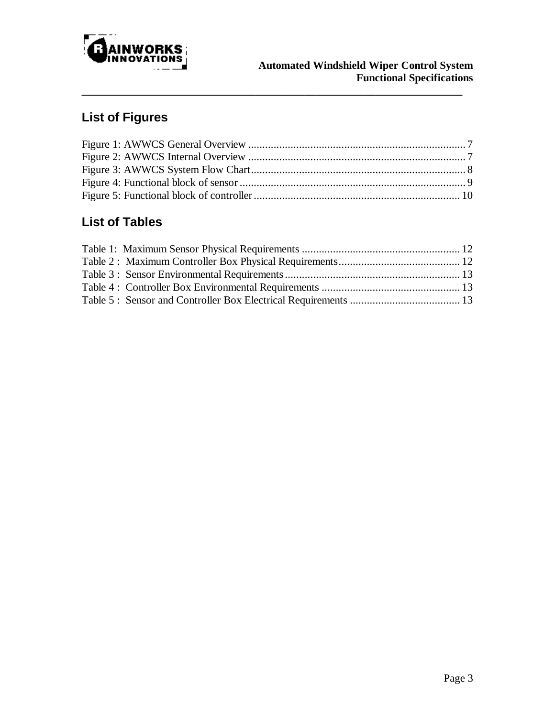

# **List of Figures**

**\_\_\_\_\_\_\_\_\_\_\_\_\_\_\_\_\_\_\_\_\_\_\_\_\_\_\_\_\_\_\_\_\_\_\_\_\_\_\_\_\_\_\_\_\_\_\_\_\_\_\_\_\_\_\_\_\_\_\_\_\_\_\_\_\_\_\_\_\_\_**

# **List of Tables**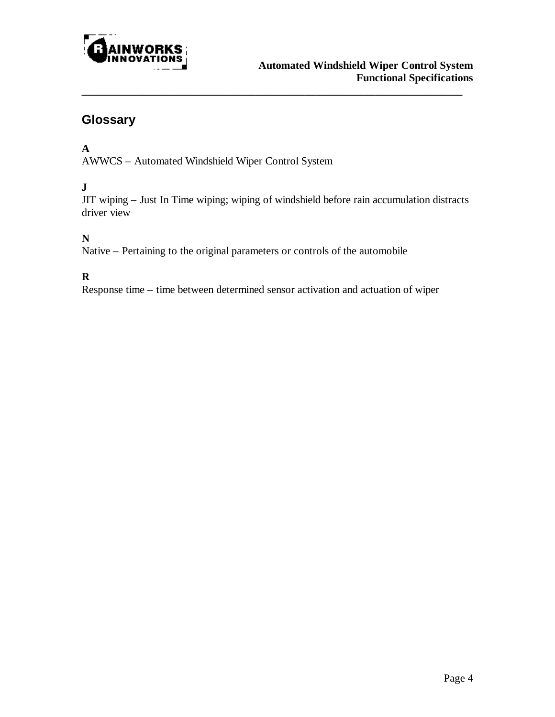

## **Glossary**

#### **A**

AWWCS – Automated Windshield Wiper Control System

#### **J**

JIT wiping – Just In Time wiping; wiping of windshield before rain accumulation distracts driver view

**\_\_\_\_\_\_\_\_\_\_\_\_\_\_\_\_\_\_\_\_\_\_\_\_\_\_\_\_\_\_\_\_\_\_\_\_\_\_\_\_\_\_\_\_\_\_\_\_\_\_\_\_\_\_\_\_\_\_\_\_\_\_\_\_\_\_\_\_\_\_**

#### **N**

Native – Pertaining to the original parameters or controls of the automobile

#### **R**

Response time – time between determined sensor activation and actuation of wiper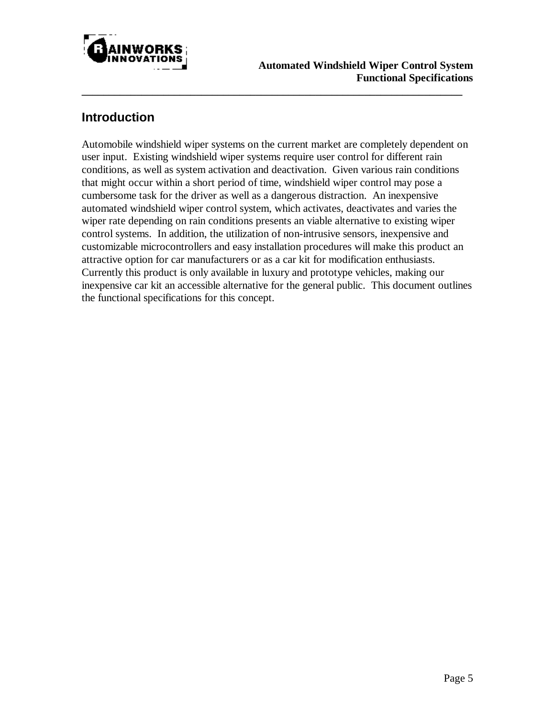

#### **Introduction**

Automobile windshield wiper systems on the current market are completely dependent on user input. Existing windshield wiper systems require user control for different rain conditions, as well as system activation and deactivation. Given various rain conditions that might occur within a short period of time, windshield wiper control may pose a cumbersome task for the driver as well as a dangerous distraction. An inexpensive automated windshield wiper control system, which activates, deactivates and varies the wiper rate depending on rain conditions presents an viable alternative to existing wiper control systems. In addition, the utilization of non-intrusive sensors, inexpensive and customizable microcontrollers and easy installation procedures will make this product an attractive option for car manufacturers or as a car kit for modification enthusiasts. Currently this product is only available in luxury and prototype vehicles, making our inexpensive car kit an accessible alternative for the general public. This document outlines the functional specifications for this concept.

**\_\_\_\_\_\_\_\_\_\_\_\_\_\_\_\_\_\_\_\_\_\_\_\_\_\_\_\_\_\_\_\_\_\_\_\_\_\_\_\_\_\_\_\_\_\_\_\_\_\_\_\_\_\_\_\_\_\_\_\_\_\_\_\_\_\_\_\_\_\_**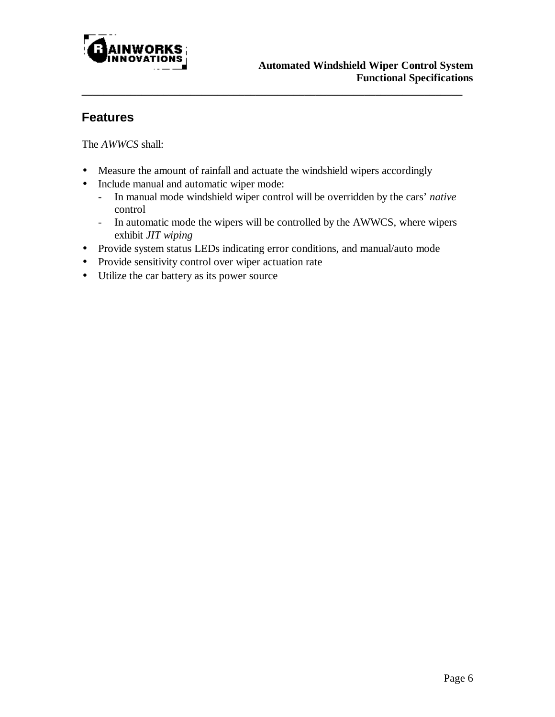

#### **Features**

The *AWWCS* shall:

- Measure the amount of rainfall and actuate the windshield wipers accordingly
- Include manual and automatic wiper mode:
	- In manual mode windshield wiper control will be overridden by the cars' *native* control

**\_\_\_\_\_\_\_\_\_\_\_\_\_\_\_\_\_\_\_\_\_\_\_\_\_\_\_\_\_\_\_\_\_\_\_\_\_\_\_\_\_\_\_\_\_\_\_\_\_\_\_\_\_\_\_\_\_\_\_\_\_\_\_\_\_\_\_\_\_\_**

- In automatic mode the wipers will be controlled by the AWWCS, where wipers exhibit *JIT wiping*
- Provide system status LEDs indicating error conditions, and manual/auto mode
- Provide sensitivity control over wiper actuation rate
- Utilize the car battery as its power source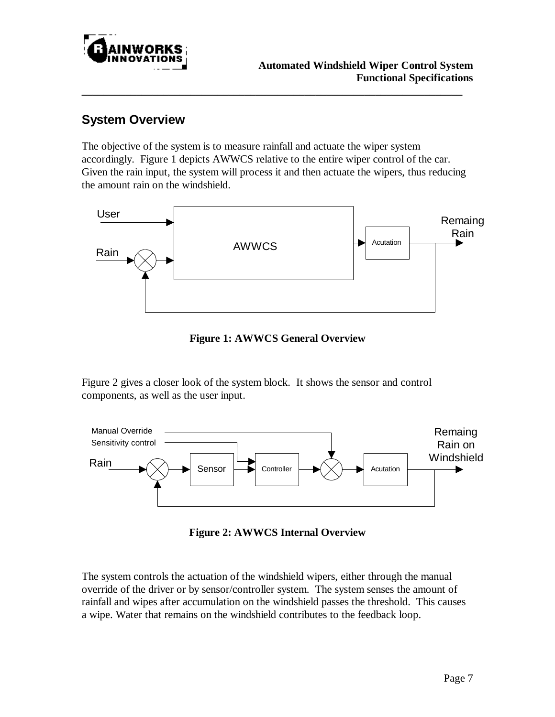

# **System Overview**

The objective of the system is to measure rainfall and actuate the wiper system accordingly. Figure 1 depicts AWWCS relative to the entire wiper control of the car. Given the rain input, the system will process it and then actuate the wipers, thus reducing the amount rain on the windshield.

**\_\_\_\_\_\_\_\_\_\_\_\_\_\_\_\_\_\_\_\_\_\_\_\_\_\_\_\_\_\_\_\_\_\_\_\_\_\_\_\_\_\_\_\_\_\_\_\_\_\_\_\_\_\_\_\_\_\_\_\_\_\_\_\_\_\_\_\_\_\_**



**Figure 1: AWWCS General Overview**

Figure 2 gives a closer look of the system block. It shows the sensor and control components, as well as the user input.



**Figure 2: AWWCS Internal Overview**

The system controls the actuation of the windshield wipers, either through the manual override of the driver or by sensor/controller system. The system senses the amount of rainfall and wipes after accumulation on the windshield passes the threshold. This causes a wipe. Water that remains on the windshield contributes to the feedback loop.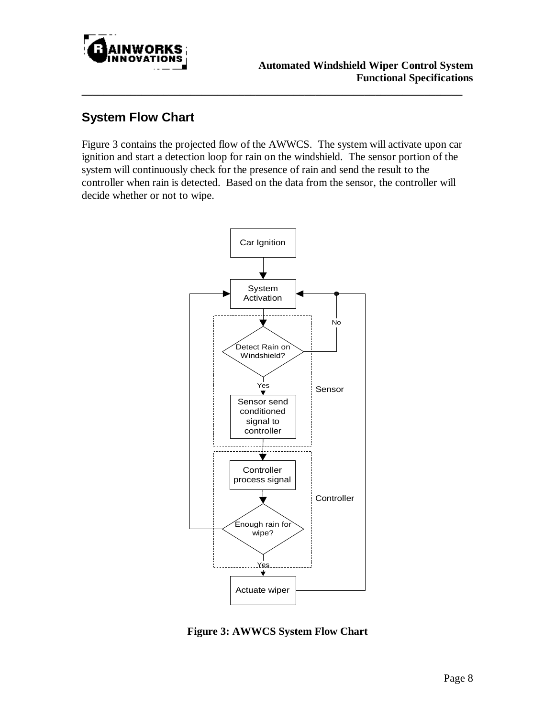

## **System Flow Chart**

Figure 3 contains the projected flow of the AWWCS. The system will activate upon car ignition and start a detection loop for rain on the windshield. The sensor portion of the system will continuously check for the presence of rain and send the result to the controller when rain is detected. Based on the data from the sensor, the controller will decide whether or not to wipe.

**\_\_\_\_\_\_\_\_\_\_\_\_\_\_\_\_\_\_\_\_\_\_\_\_\_\_\_\_\_\_\_\_\_\_\_\_\_\_\_\_\_\_\_\_\_\_\_\_\_\_\_\_\_\_\_\_\_\_\_\_\_\_\_\_\_\_\_\_\_\_**



**Figure 3: AWWCS System Flow Chart**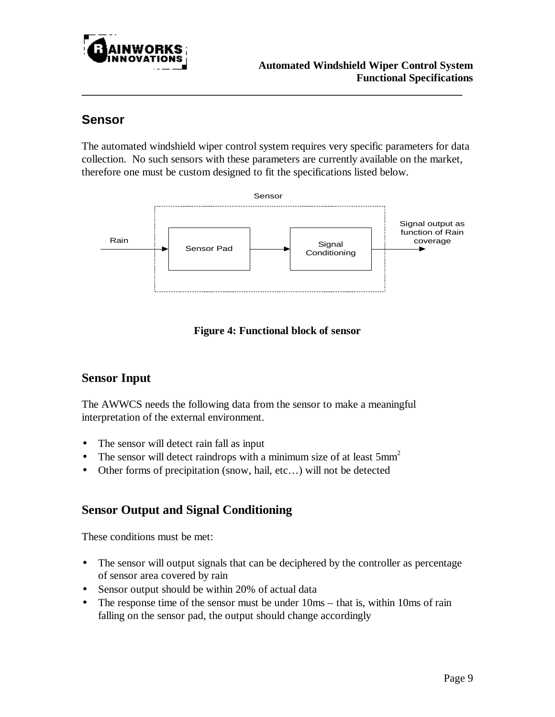

### **Sensor**

The automated windshield wiper control system requires very specific parameters for data collection. No such sensors with these parameters are currently available on the market, therefore one must be custom designed to fit the specifications listed below.

**\_\_\_\_\_\_\_\_\_\_\_\_\_\_\_\_\_\_\_\_\_\_\_\_\_\_\_\_\_\_\_\_\_\_\_\_\_\_\_\_\_\_\_\_\_\_\_\_\_\_\_\_\_\_\_\_\_\_\_\_\_\_\_\_\_\_\_\_\_\_**





#### **Sensor Input**

The AWWCS needs the following data from the sensor to make a meaningful interpretation of the external environment.

- The sensor will detect rain fall as input
- The sensor will detect raindrops with a minimum size of at least  $5mm<sup>2</sup>$
- Other forms of precipitation (snow, hail, etc...) will not be detected

#### **Sensor Output and Signal Conditioning**

These conditions must be met:

- The sensor will output signals that can be deciphered by the controller as percentage of sensor area covered by rain
- Sensor output should be within 20% of actual data
- The response time of the sensor must be under  $10\text{ms} \text{that is, within } 10\text{ms of rain}$ falling on the sensor pad, the output should change accordingly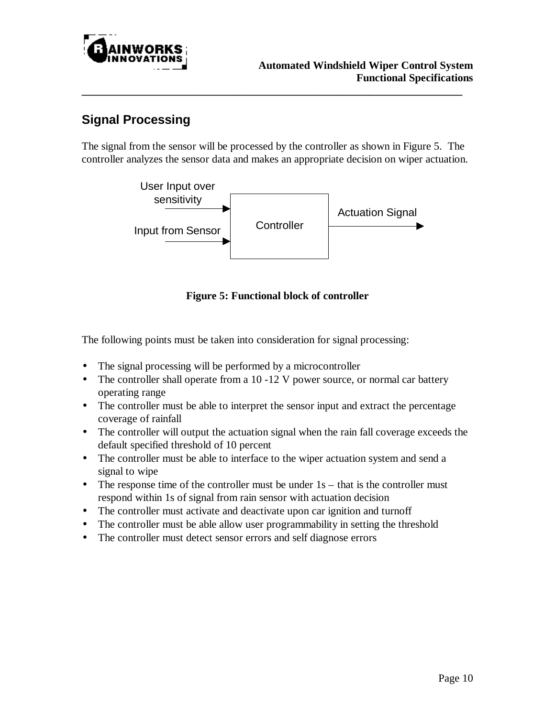

# **Signal Processing**

The signal from the sensor will be processed by the controller as shown in Figure 5. The controller analyzes the sensor data and makes an appropriate decision on wiper actuation.

**\_\_\_\_\_\_\_\_\_\_\_\_\_\_\_\_\_\_\_\_\_\_\_\_\_\_\_\_\_\_\_\_\_\_\_\_\_\_\_\_\_\_\_\_\_\_\_\_\_\_\_\_\_\_\_\_\_\_\_\_\_\_\_\_\_\_\_\_\_\_**



**Figure 5: Functional block of controller**

The following points must be taken into consideration for signal processing:

- The signal processing will be performed by a microcontroller
- The controller shall operate from a 10 -12 V power source, or normal car battery operating range
- The controller must be able to interpret the sensor input and extract the percentage coverage of rainfall
- The controller will output the actuation signal when the rain fall coverage exceeds the default specified threshold of 10 percent
- The controller must be able to interface to the wiper actuation system and send a signal to wipe
- The response time of the controller must be under  $1s -$  that is the controller must respond within 1s of signal from rain sensor with actuation decision
- The controller must activate and deactivate upon car ignition and turnoff
- The controller must be able allow user programmability in setting the threshold
- The controller must detect sensor errors and self diagnose errors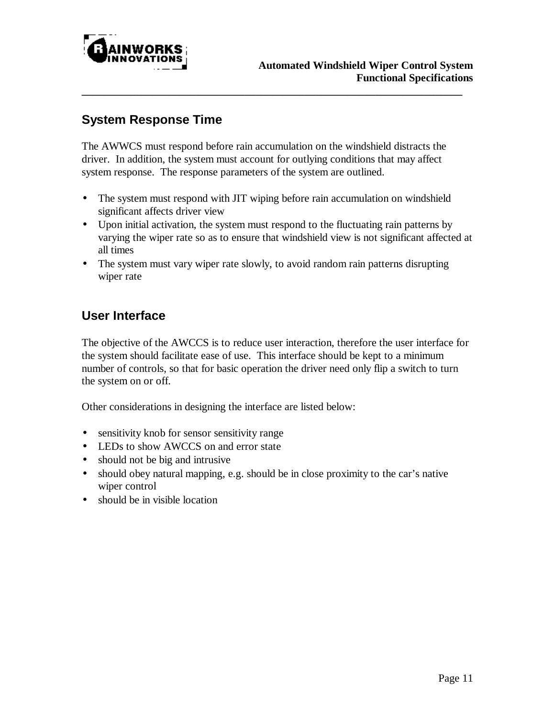

# **System Response Time**

The AWWCS must respond before rain accumulation on the windshield distracts the driver. In addition, the system must account for outlying conditions that may affect system response. The response parameters of the system are outlined.

**\_\_\_\_\_\_\_\_\_\_\_\_\_\_\_\_\_\_\_\_\_\_\_\_\_\_\_\_\_\_\_\_\_\_\_\_\_\_\_\_\_\_\_\_\_\_\_\_\_\_\_\_\_\_\_\_\_\_\_\_\_\_\_\_\_\_\_\_\_\_**

- The system must respond with JIT wiping before rain accumulation on windshield significant affects driver view
- Upon initial activation, the system must respond to the fluctuating rain patterns by varying the wiper rate so as to ensure that windshield view is not significant affected at all times
- The system must vary wiper rate slowly, to avoid random rain patterns disrupting wiper rate

# **User Interface**

The objective of the AWCCS is to reduce user interaction, therefore the user interface for the system should facilitate ease of use. This interface should be kept to a minimum number of controls, so that for basic operation the driver need only flip a switch to turn the system on or off.

Other considerations in designing the interface are listed below:

- sensitivity knob for sensor sensitivity range
- LEDs to show AWCCS on and error state
- should not be big and intrusive
- should obey natural mapping, e.g. should be in close proximity to the car's native wiper control
- should be in visible location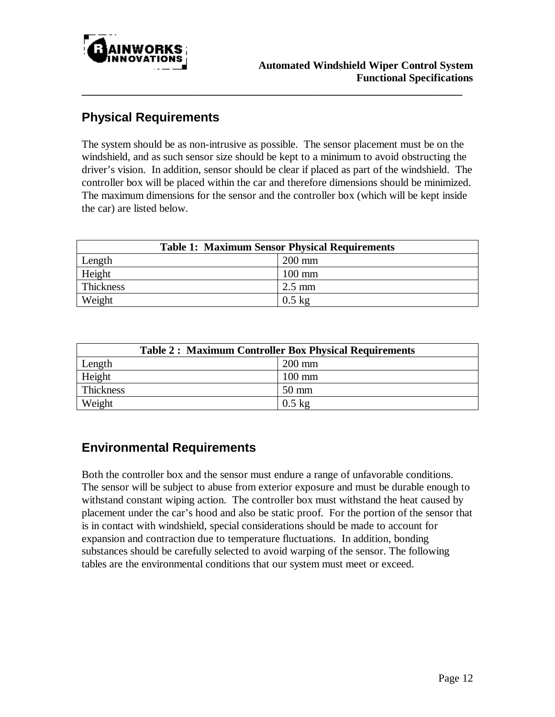

### **Physical Requirements**

The system should be as non-intrusive as possible. The sensor placement must be on the windshield, and as such sensor size should be kept to a minimum to avoid obstructing the driver's vision. In addition, sensor should be clear if placed as part of the windshield. The controller box will be placed within the car and therefore dimensions should be minimized. The maximum dimensions for the sensor and the controller box (which will be kept inside the car) are listed below.

**\_\_\_\_\_\_\_\_\_\_\_\_\_\_\_\_\_\_\_\_\_\_\_\_\_\_\_\_\_\_\_\_\_\_\_\_\_\_\_\_\_\_\_\_\_\_\_\_\_\_\_\_\_\_\_\_\_\_\_\_\_\_\_\_\_\_\_\_\_\_**

| <b>Table 1: Maximum Sensor Physical Requirements</b> |                  |
|------------------------------------------------------|------------------|
| Length                                               | $200$ mm         |
| Height                                               | $100 \text{ mm}$ |
| Thickness                                            | $2.5 \text{ mm}$ |
| Weight                                               | $0.5 \text{ kg}$ |

| <b>Table 2: Maximum Controller Box Physical Requirements</b> |                  |
|--------------------------------------------------------------|------------------|
| Length                                                       | $200 \text{ mm}$ |
| Height                                                       | $100 \text{ mm}$ |
| Thickness                                                    | $50 \text{ mm}$  |
| Weight                                                       | $0.5$ kg         |

# **Environmental Requirements**

Both the controller box and the sensor must endure a range of unfavorable conditions. The sensor will be subject to abuse from exterior exposure and must be durable enough to withstand constant wiping action. The controller box must withstand the heat caused by placement under the car's hood and also be static proof. For the portion of the sensor that is in contact with windshield, special considerations should be made to account for expansion and contraction due to temperature fluctuations. In addition, bonding substances should be carefully selected to avoid warping of the sensor. The following tables are the environmental conditions that our system must meet or exceed.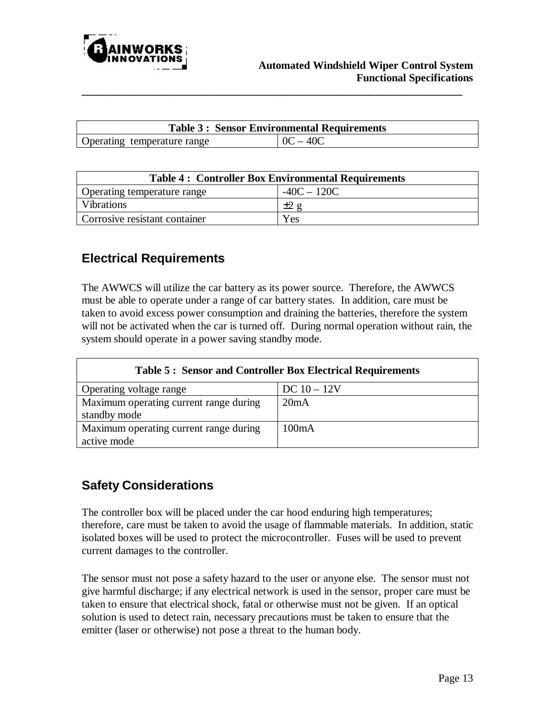

| <b>Table 3: Sensor Environmental Requirements</b> |            |
|---------------------------------------------------|------------|
| Operating temperature range                       | $OC - 40C$ |

**\_\_\_\_\_\_\_\_\_\_\_\_\_\_\_\_\_\_\_\_\_\_\_\_\_\_\_\_\_\_\_\_\_\_\_\_\_\_\_\_\_\_\_\_\_\_\_\_\_\_\_\_\_\_\_\_\_\_\_\_\_\_\_\_\_\_\_\_\_\_**

| <b>Table 4: Controller Box Environmental Requirements</b> |               |  |
|-----------------------------------------------------------|---------------|--|
| Operating temperature range                               | $-40C - 120C$ |  |
| <b>Vibrations</b>                                         | $+2g$         |  |
| Corrosive resistant container                             | Yes           |  |

## **Electrical Requirements**

The AWWCS will utilize the car battery as its power source. Therefore, the AWWCS must be able to operate under a range of car battery states. In addition, care must be taken to avoid excess power consumption and draining the batteries, therefore the system will not be activated when the car is turned off. During normal operation without rain, the system should operate in a power saving standby mode.

| <b>Table 5: Sensor and Controller Box Electrical Requirements</b> |               |  |
|-------------------------------------------------------------------|---------------|--|
| Operating voltage range                                           | $DC 10 - 12V$ |  |
| Maximum operating current range during<br>standby mode            | 20mA          |  |
| Maximum operating current range during<br>active mode             | 100mA         |  |

# **Safety Considerations**

The controller box will be placed under the car hood enduring high temperatures; therefore, care must be taken to avoid the usage of flammable materials. In addition, static isolated boxes will be used to protect the microcontroller. Fuses will be used to prevent current damages to the controller.

The sensor must not pose a safety hazard to the user or anyone else. The sensor must not give harmful discharge; if any electrical network is used in the sensor, proper care must be taken to ensure that electrical shock, fatal or otherwise must not be given. If an optical solution is used to detect rain, necessary precautions must be taken to ensure that the emitter (laser or otherwise) not pose a threat to the human body.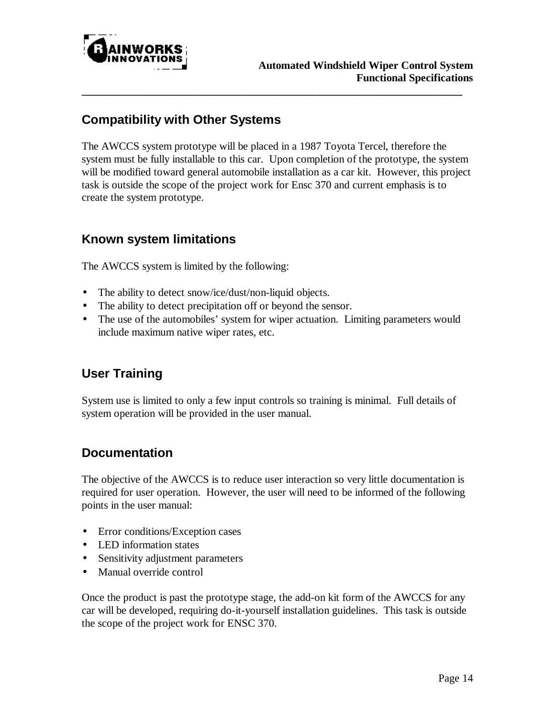

## **Compatibility with Other Systems**

The AWCCS system prototype will be placed in a 1987 Toyota Tercel, therefore the system must be fully installable to this car. Upon completion of the prototype, the system will be modified toward general automobile installation as a car kit. However, this project task is outside the scope of the project work for Ensc 370 and current emphasis is to create the system prototype.

**\_\_\_\_\_\_\_\_\_\_\_\_\_\_\_\_\_\_\_\_\_\_\_\_\_\_\_\_\_\_\_\_\_\_\_\_\_\_\_\_\_\_\_\_\_\_\_\_\_\_\_\_\_\_\_\_\_\_\_\_\_\_\_\_\_\_\_\_\_\_**

#### **Known system limitations**

The AWCCS system is limited by the following:

- The ability to detect snow/ice/dust/non-liquid objects.
- The ability to detect precipitation off or beyond the sensor.
- The use of the automobiles' system for wiper actuation. Limiting parameters would include maximum native wiper rates, etc.

## **User Training**

System use is limited to only a few input controls so training is minimal. Full details of system operation will be provided in the user manual.

#### **Documentation**

The objective of the AWCCS is to reduce user interaction so very little documentation is required for user operation. However, the user will need to be informed of the following points in the user manual:

- Error conditions/Exception cases
- LED information states
- Sensitivity adjustment parameters
- Manual override control

Once the product is past the prototype stage, the add-on kit form of the AWCCS for any car will be developed, requiring do-it-yourself installation guidelines. This task is outside the scope of the project work for ENSC 370.